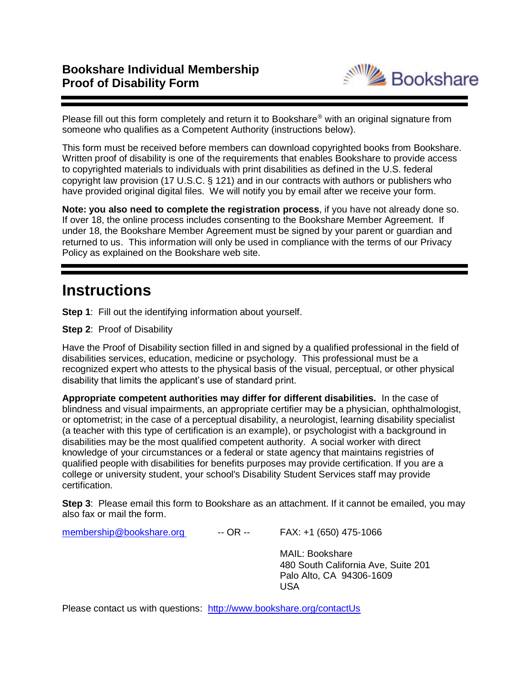

Please fill out this form completely and return it to Bookshare® with an original signature from someone who qualifies as a Competent Authority (instructions below).

This form must be received before members can download copyrighted books from Bookshare. Written proof of disability is one of the requirements that enables Bookshare to provide access to copyrighted materials to individuals with print disabilities as defined in the U.S. federal copyright law provision (17 U.S.C. § 121) and in our contracts with authors or publishers who have provided original digital files. We will notify you by email after we receive your form.

**Note: you also need to complete the registration process**, if you have not already done so. If over 18, the online process includes consenting to the Bookshare Member Agreement. If under 18, the Bookshare Member Agreement must be signed by your parent or guardian and returned to us. This information will only be used in compliance with the terms of our Privacy Policy as explained on the Bookshare web site.

# **Instructions**

**Step 1:** Fill out the identifying information about yourself.

**Step 2**: Proof of Disability

Have the Proof of Disability section filled in and signed by a qualified professional in the field of disabilities services, education, medicine or psychology. This professional must be a recognized expert who attests to the physical basis of the visual, perceptual, or other physical disability that limits the applicant's use of standard print.

**Appropriate competent authorities may differ for different disabilities.** In the case of blindness and visual impairments, an appropriate certifier may be a physician, ophthalmologist, or optometrist; in the case of a perceptual disability, a neurologist, learning disability specialist (a teacher with this type of certification is an example), or psychologist with a background in disabilities may be the most qualified competent authority. A social worker with direct knowledge of your circumstances or a federal or state agency that maintains registries of qualified people with disabilities for benefits purposes may provide certification. If you are a college or university student, your school's Disability Student Services staff may provide certification.

**Step 3**: Please email this form to Bookshare as an attachment. If it cannot be emailed, you may also fax or mail the form.

[membership@bookshare.org](mailto:membership@bookshare.org) -- OR -- FAX: +1 (650) 475-1066

MAIL: Bookshare 480 South California Ave, Suite 201 Palo Alto, CA 94306-1609 USA

Please contact us with questions: <http://www.bookshare.org/contactUs>